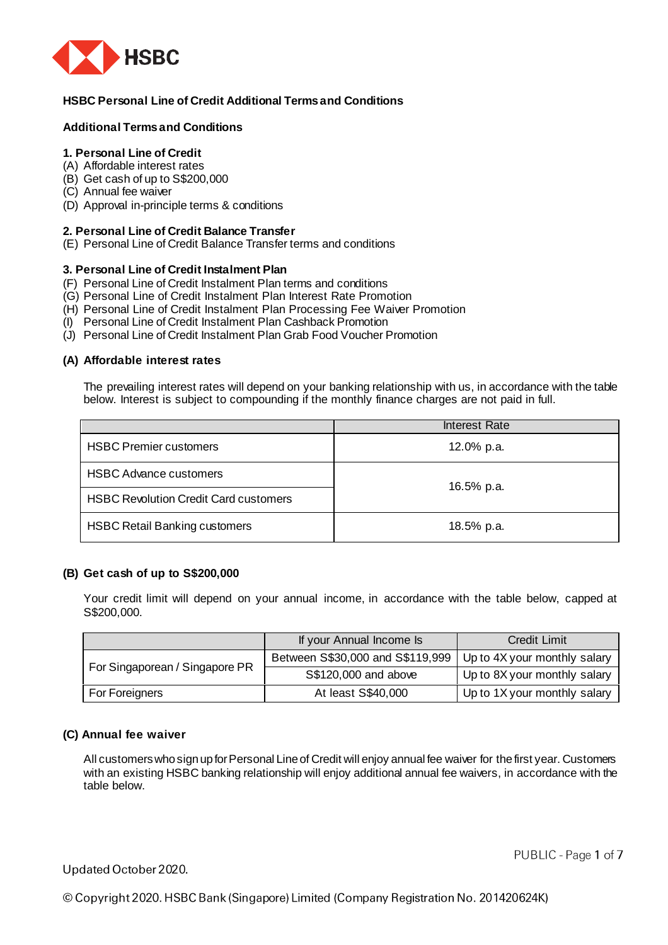

# **HSBC Personal Line of Credit Additional Terms and Conditions**

# **Additional Terms and Conditions**

# **1. Personal Line of Credit**

- (A) Affordable interest rates
- (B) Get cash of up to S\$200,000
- (C) Annual fee waiver
- (D) Approval in-principle terms & conditions

### **2. Personal Line of Credit Balance Transfer**

(E) Personal Line of Credit Balance Transfer terms and conditions

### **3. Personal Line of Credit Instalment Plan**

- (F) Personal Line of Credit Instalment Plan terms and conditions
- (G) Personal Line of Credit Instalment Plan Interest Rate Promotion
- (H) Personal Line of Credit Instalment Plan Processing Fee Waiver Promotion
- (I) Personal Line of Credit Instalment Plan Cashback Promotion
- (J) Personal Line of Credit Instalment Plan Grab Food Voucher Promotion

### **(A) Affordable interest rates**

The prevailing interest rates will depend on your banking relationship with us, in accordance with the table below. Interest is subject to compounding if the monthly finance charges are not paid in full.

|                                              | <b>Interest Rate</b> |  |
|----------------------------------------------|----------------------|--|
| <b>HSBC Premier customers</b>                | 12.0% p.a.           |  |
| <b>HSBC Advance customers</b>                | 16.5% p.a.           |  |
| <b>HSBC Revolution Credit Card customers</b> |                      |  |
| <b>HSBC Retail Banking customers</b>         | 18.5% p.a.           |  |

### **(B) Get cash of up to S\$200,000**

Your credit limit will depend on your annual income, in accordance with the table below, capped at S\$200,000.

|                                | If your Annual Income Is         | <b>Credit Limit</b>          |
|--------------------------------|----------------------------------|------------------------------|
| For Singaporean / Singapore PR | Between S\$30,000 and S\$119,999 | Up to 4X your monthly salary |
|                                | S\$120,000 and above             | Up to 8X your monthly salary |
| For Foreigners                 | At least S\$40,000               | Up to 1X your monthly salary |

## **(C) Annual fee waiver**

All customers who sign up for Personal Line of Credit will enjoy annual fee waiver for the first year. Customers with an existing HSBC banking relationship will enjoy additional annual fee waivers, in accordance with the table below.

# Updated October 2020.

PUBLIC - Page 1 of 7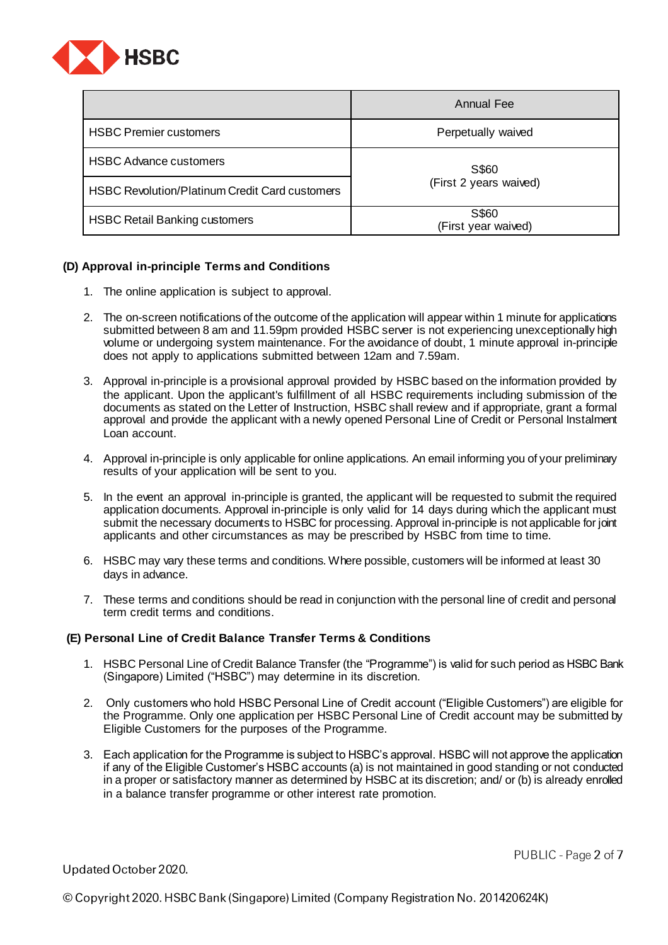

|                                                       | <b>Annual Fee</b>               |  |
|-------------------------------------------------------|---------------------------------|--|
| <b>HSBC Premier customers</b>                         | Perpetually waived              |  |
| <b>HSBC Advance customers</b>                         | S\$60<br>(First 2 years waived) |  |
| <b>HSBC Revolution/Platinum Credit Card customers</b> |                                 |  |
| <b>HSBC Retail Banking customers</b>                  | S\$60<br>(First year waived)    |  |

# **(D) Approval in-principle Terms and Conditions**

- 1. The online application is subject to approval.
- 2. The on-screen notifications of the outcome of the application will appear within 1 minute for applications submitted between 8 am and 11.59pm provided HSBC server is not experiencing unexceptionally high volume or undergoing system maintenance. For the avoidance of doubt, 1 minute approval in-principle does not apply to applications submitted between 12am and 7.59am.
- 3. Approval in-principle is a provisional approval provided by HSBC based on the information provided by the applicant. Upon the applicant's fulfillment of all HSBC requirements including submission of the documents as stated on the Letter of Instruction, HSBC shall review and if appropriate, grant a formal approval and provide the applicant with a newly opened Personal Line of Credit or Personal Instalment Loan account.
- 4. Approval in-principle is only applicable for online applications. An email informing you of your preliminary results of your application will be sent to you.
- 5. In the event an approval in-principle is granted, the applicant will be requested to submit the required application documents. Approval in-principle is only valid for 14 days during which the applicant must submit the necessary documents to HSBC for processing. Approval in-principle is not applicable for joint applicants and other circumstances as may be prescribed by HSBC from time to time.
- 6. HSBC may vary these terms and conditions. Where possible, customers will be informed at least 30 days in advance.
- 7. These terms and conditions should be read in conjunction with the personal line of credit and personal term credit terms and conditions.

## **(E) Personal Line of Credit Balance Transfer Terms & Conditions**

- 1. HSBC Personal Line of Credit Balance Transfer (the "Programme") is valid for such period as HSBC Bank (Singapore) Limited ("HSBC") may determine in its discretion.
- 2. Only customers who hold HSBC Personal Line of Credit account ("Eligible Customers") are eligible for the Programme. Only one application per HSBC Personal Line of Credit account may be submitted by Eligible Customers for the purposes of the Programme.
- 3. Each application for the Programme is subject to HSBC's approval. HSBC will not approve the application if any of the Eligible Customer's HSBC accounts (a) is not maintained in good standing or not conducted in a proper or satisfactory manner as determined by HSBC at its discretion; and/ or (b) is already enrolled in a balance transfer programme or other interest rate promotion.

Updated October 2020.

PUBLIC - Page 2 of 7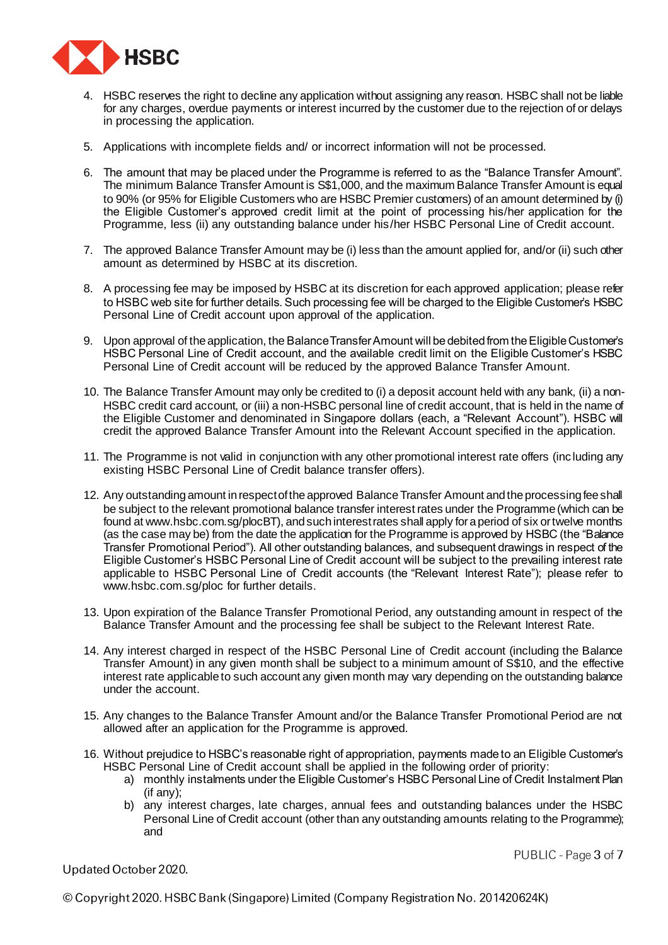

- 4. HSBC reserves the right to decline any application without assigning any reason. HSBC shall not be liable for any charges, overdue payments or interest incurred by the customer due to the rejection of or delays in processing the application.
- 5. Applications with incomplete fields and/ or incorrect information will not be processed.
- 6. The amount that may be placed under the Programme is referred to as the "Balance Transfer Amount". The minimum Balance Transfer Amount is S\$1,000, and the maximum Balance Transfer Amount is equal to 90% (or 95% for Eligible Customers who are HSBC Premier customers) of an amount determined by (i) the Eligible Customer's approved credit limit at the point of processing his/her application for the Programme, less (ii) any outstanding balance under his/her HSBC Personal Line of Credit account.
- 7. The approved Balance Transfer Amount may be (i) less than the amount applied for, and/or (ii) such other amount as determined by HSBC at its discretion.
- 8. A processing fee may be imposed by HSBC at its discretion for each approved application; please refer to HSBC web site for further details. Such processing fee will be charged to the Eligible Customer's HSBC Personal Line of Credit account upon approval of the application.
- 9. Upon approval of the application, the Balance Transfer Amount will be debited from the Eligible Customer's HSBC Personal Line of Credit account, and the available credit limit on the Eligible Customer's HSBC Personal Line of Credit account will be reduced by the approved Balance Transfer Amount.
- 10. The Balance Transfer Amount may only be credited to (i) a deposit account held with any bank, (ii) a non-HSBC credit card account, or (iii) a non-HSBC personal line of credit account, that is held in the name of the Eligible Customer and denominated in Singapore dollars (each, a "Relevant Account"). HSBC will credit the approved Balance Transfer Amount into the Relevant Account specified in the application.
- 11. The Programme is not valid in conjunction with any other promotional interest rate offers (inc luding any existing HSBC Personal Line of Credit balance transfer offers).
- 12. Any outstanding amount in respect of the approved Balance Transfer Amount and the processing fee shall be subject to the relevant promotional balance transfer interest rates under the Programme (which can be found at [www.hsbc.com.sg/plocBT\)](http://www.hsbc.com.sg/plocBT), and such interest rates shall apply for a period of six or twelve months (as the case may be) from the date the application for the Programme is approved by HSBC (the "Balance Transfer Promotional Period"). All other outstanding balances, and subsequent drawings in respect of the Eligible Customer's HSBC Personal Line of Credit account will be subject to the prevailing interest rate applicable to HSBC Personal Line of Credit accounts (the "Relevant Interest Rate"); please refer to www.hsbc.com.sg/ploc for further details.
- 13. Upon expiration of the Balance Transfer Promotional Period, any outstanding amount in respect of the Balance Transfer Amount and the processing fee shall be subject to the Relevant Interest Rate.
- 14. Any interest charged in respect of the HSBC Personal Line of Credit account (including the Balance Transfer Amount) in any given month shall be subject to a minimum amount of S\$10, and the effective interest rate applicable to such account any given month may vary depending on the outstanding balance under the account.
- 15. Any changes to the Balance Transfer Amount and/or the Balance Transfer Promotional Period are not allowed after an application for the Programme is approved.
- 16. Without prejudice to HSBC's reasonable right of appropriation, payments made to an Eligible Customer's HSBC Personal Line of Credit account shall be applied in the following order of priority:
	- a) monthly instalments under the Eligible Customer's HSBC Personal Line of Credit Instalment Plan (if any);
	- b) any interest charges, late charges, annual fees and outstanding balances under the HSBC Personal Line of Credit account (other than any outstanding amounts relating to the Programme); and

Updated October 2020.

PUBLIC - Page 3 of 7

© Copyright 2020. HSBC Bank (Singapore) Limited (Company Registration No. 201420624K)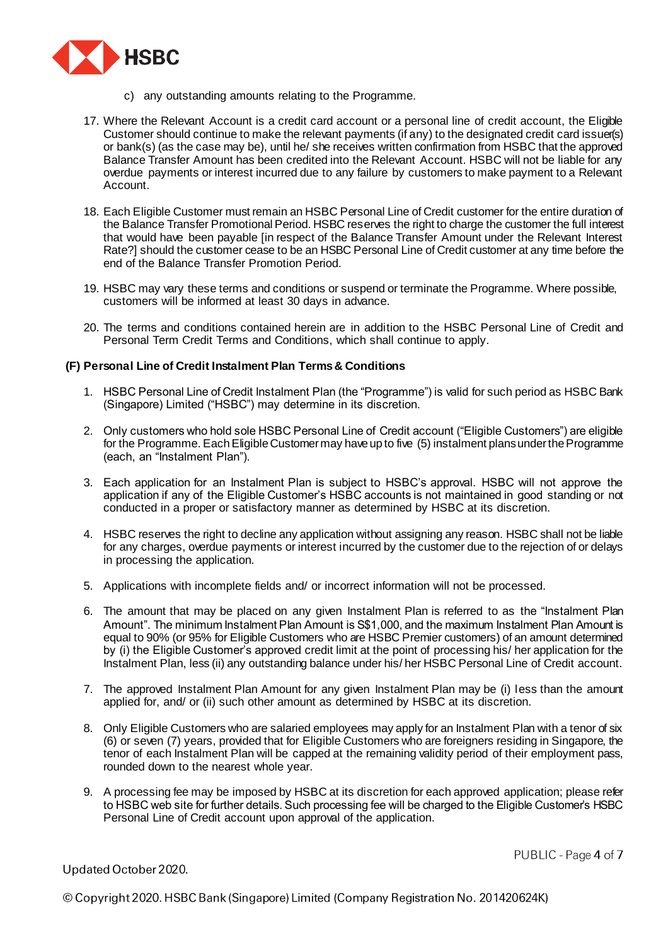

- c) any outstanding amounts relating to the Programme.
- 17. Where the Relevant Account is a credit card account or a personal line of credit account, the Eligible Customer should continue to make the relevant payments (if any) to the designated credit card issuer(s) or bank(s) (as the case may be), until he/ she receives written confirmation from HSBC that the approved Balance Transfer Amount has been credited into the Relevant Account. HSBC will not be liable for any overdue payments or interest incurred due to any failure by customers to make payment to a Relevant Account.
- 18. Each Eligible Customer must remain an HSBC Personal Line of Credit customer for the entire duration of the Balance Transfer Promotional Period. HSBC reserves the right to charge the customer the full interest that would have been payable [in respect of the Balance Transfer Amount under the Relevant Interest Rate?] should the customer cease to be an HSBC Personal Line of Credit customer at any time before the end of the Balance Transfer Promotion Period.
- 19. HSBC may vary these terms and conditions or suspend or terminate the Programme. Where possible, customers will be informed at least 30 days in advance.
- 20. The terms and conditions contained herein are in addition to the HSBC Personal Line of Credit and Personal Term Credit Terms and Conditions, which shall continue to apply.

### **(F) Personal Line of Credit Instalment Plan Terms & Conditions**

- 1. HSBC Personal Line of Credit Instalment Plan (the "Programme") is valid for such period as HSBC Bank (Singapore) Limited ("HSBC") may determine in its discretion.
- 2. Only customers who hold sole HSBC Personal Line of Credit account ("Eligible Customers") are eligible for the Programme. Each Eligible Customer may have up to five (5) instalment plans under the Programme (each, an "Instalment Plan").
- 3. Each application for an Instalment Plan is subject to HSBC's approval. HSBC will not approve the application if any of the Eligible Customer's HSBC accounts is not maintained in good standing or not conducted in a proper or satisfactory manner as determined by HSBC at its discretion.
- 4. HSBC reserves the right to decline any application without assigning any reason. HSBC shall not be liable for any charges, overdue payments or interest incurred by the customer due to the rejection of or delays in processing the application.
- 5. Applications with incomplete fields and/ or incorrect information will not be processed.
- 6. The amount that may be placed on any given Instalment Plan is referred to as the "Instalment Plan Amount". The minimum Instalment Plan Amount is S\$1,000, and the maximum Instalment Plan Amount is equal to 90% (or 95% for Eligible Customers who are HSBC Premier customers) of an amount determined by (i) the Eligible Customer's approved credit limit at the point of processing his/ her application for the Instalment Plan, less (ii) any outstanding balance under his/ her HSBC Personal Line of Credit account.
- 7. The approved Instalment Plan Amount for any given Instalment Plan may be (i) less than the amount applied for, and/ or (ii) such other amount as determined by HSBC at its discretion.
- 8. Only Eligible Customers who are salaried employees may apply for an Instalment Plan with a tenor of six (6) or seven (7) years, provided that for Eligible Customers who are foreigners residing in Singapore, the tenor of each Instalment Plan will be capped at the remaining validity period of their employment pass, rounded down to the nearest whole year.
- 9. A processing fee may be imposed by HSBC at its discretion for each approved application; please refer to HSBC web site for further details. Such processing fee will be charged to the Eligible Customer's HSBC Personal Line of Credit account upon approval of the application.

Updated October 2020.

PUBLIC - Page 4 of 7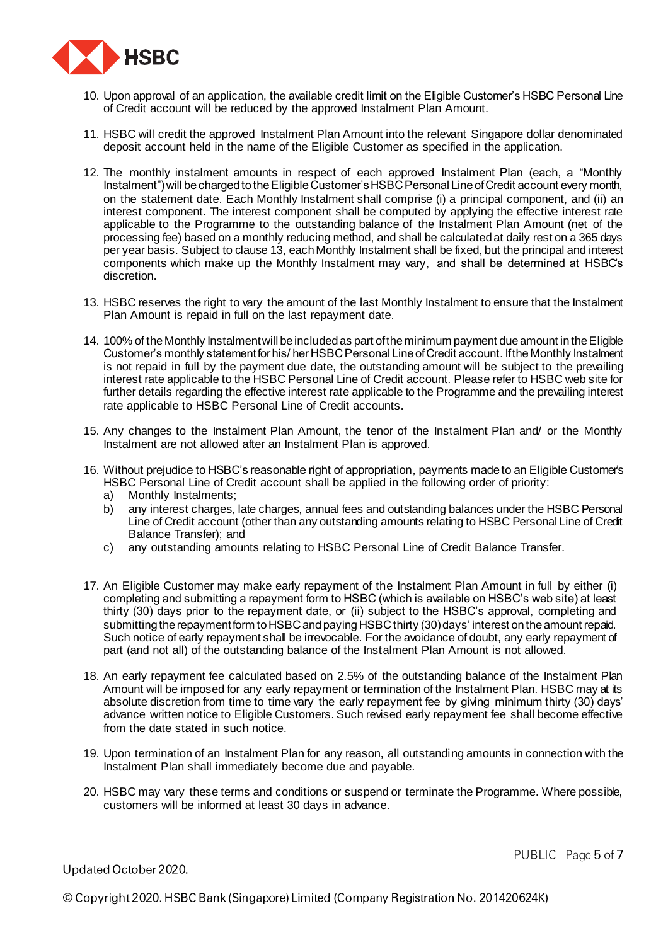

- 10. Upon approval of an application, the available credit limit on the Eligible Customer's HSBC Personal Line of Credit account will be reduced by the approved Instalment Plan Amount.
- 11. HSBC will credit the approved Instalment Plan Amount into the relevant Singapore dollar denominated deposit account held in the name of the Eligible Customer as specified in the application.
- 12. The monthly instalment amounts in respect of each approved Instalment Plan (each, a "Monthly Instalment") will be charged to the Eligible Customer's HSBC Personal Line of Credit account every month, on the statement date. Each Monthly Instalment shall comprise (i) a principal component, and (ii) an interest component. The interest component shall be computed by applying the effective interest rate applicable to the Programme to the outstanding balance of the Instalment Plan Amount (net of the processing fee) based on a monthly reducing method, and shall be calculated at daily rest on a 365 days per year basis. Subject to clause 13, each Monthly Instalment shall be fixed, but the principal and interest components which make up the Monthly Instalment may vary, and shall be determined at HSBC's discretion.
- 13. HSBC reserves the right to vary the amount of the last Monthly Instalment to ensure that the Instalment Plan Amount is repaid in full on the last repayment date.
- 14. 100% of the Monthly Instalment will be included as part of the minimum payment due amount in the Eligible Customer's monthly statement for his/ her HSBC Personal Line of Credit account. If the Monthly Instalment is not repaid in full by the payment due date, the outstanding amount will be subject to the prevailing interest rate applicable to the HSBC Personal Line of Credit account. Please refer to HSBC web site for further details regarding the effective interest rate applicable to the Programme and the prevailing interest rate applicable to HSBC Personal Line of Credit accounts.
- 15. Any changes to the Instalment Plan Amount, the tenor of the Instalment Plan and/ or the Monthly Instalment are not allowed after an Instalment Plan is approved.
- 16. Without prejudice to HSBC's reasonable right of appropriation, payments made to an Eligible Customer's HSBC Personal Line of Credit account shall be applied in the following order of priority:
	- a) Monthly Instalments;
	- b) any interest charges, late charges, annual fees and outstanding balances under the HSBC Personal Line of Credit account (other than any outstanding amounts relating to HSBC Personal Line of Credit Balance Transfer); and
	- c) any outstanding amounts relating to HSBC Personal Line of Credit Balance Transfer.
- 17. An Eligible Customer may make early repayment of the Instalment Plan Amount in full by either (i) completing and submitting a repayment form to HSBC (which is available on HSBC's web site) at least thirty (30) days prior to the repayment date, or (ii) subject to the HSBC's approval, completing and submitting the repayment form to HSBC and paying HSBC thirty (30) days' interest on the amount repaid. Such notice of early repayment shall be irrevocable. For the avoidance of doubt, any early repayment of part (and not all) of the outstanding balance of the Instalment Plan Amount is not allowed.
- 18. An early repayment fee calculated based on 2.5% of the outstanding balance of the Instalment Plan Amount will be imposed for any early repayment or termination of the Instalment Plan. HSBC may at its absolute discretion from time to time vary the early repayment fee by giving minimum thirty (30) days' advance written notice to Eligible Customers. Such revised early repayment fee shall become effective from the date stated in such notice.
- 19. Upon termination of an Instalment Plan for any reason, all outstanding amounts in connection with the Instalment Plan shall immediately become due and payable.
- 20. HSBC may vary these terms and conditions or suspend or terminate the Programme. Where possible, customers will be informed at least 30 days in advance.

Updated October 2020.

PUBLIC - Page 5 of 7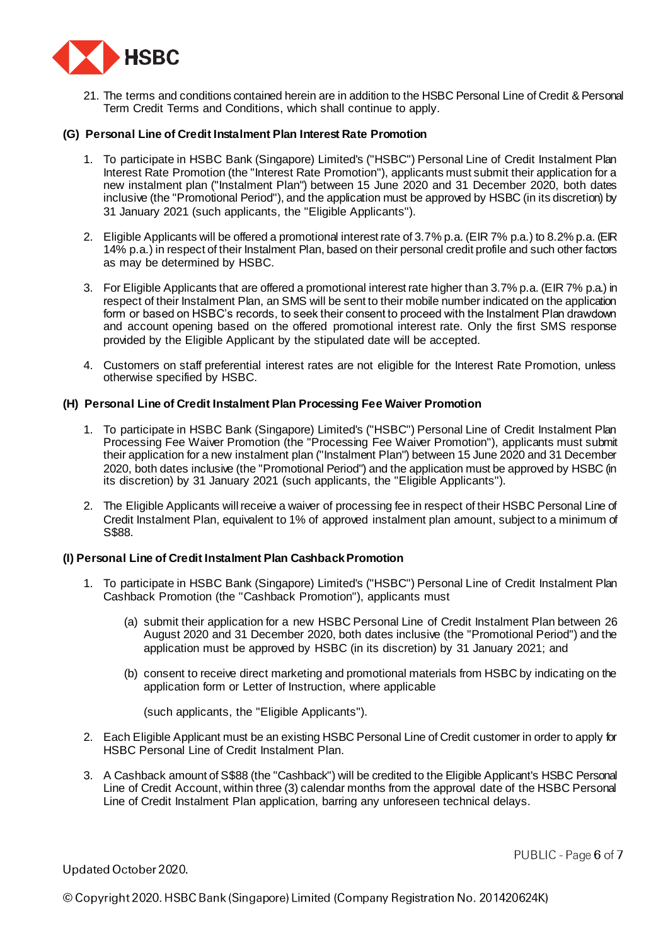

21. The terms and conditions contained herein are in addition to the HSBC Personal Line of Credit & Personal Term Credit Terms and Conditions, which shall continue to apply.

### **(G) Personal Line of Credit Instalment Plan Interest Rate Promotion**

- 1. To participate in HSBC Bank (Singapore) Limited's ("HSBC") Personal Line of Credit Instalment Plan Interest Rate Promotion (the "Interest Rate Promotion"), applicants must submit their application for a new instalment plan ("Instalment Plan") between 15 June 2020 and 31 December 2020, both dates inclusive (the "Promotional Period"), and the application must be approved by HSBC (in its discretion) by 31 January 2021 (such applicants, the "Eligible Applicants").
- 2. Eligible Applicants will be offered a promotional interest rate of 3.7% p.a. (EIR 7% p.a.) to 8.2% p.a. (EIR 14% p.a.) in respect of their Instalment Plan, based on their personal credit profile and such other factors as may be determined by HSBC.
- 3. For Eligible Applicants that are offered a promotional interest rate higher than 3.7% p.a. (EIR 7% p.a.) in respect of their Instalment Plan, an SMS will be sent to their mobile number indicated on the application form or based on HSBC's records, to seek their consent to proceed with the Instalment Plan drawdown and account opening based on the offered promotional interest rate. Only the first SMS response provided by the Eligible Applicant by the stipulated date will be accepted.
- 4. Customers on staff preferential interest rates are not eligible for the Interest Rate Promotion, unless otherwise specified by HSBC.

### **(H) Personal Line of Credit Instalment Plan Processing Fee Waiver Promotion**

- 1. To participate in HSBC Bank (Singapore) Limited's ("HSBC") Personal Line of Credit Instalment Plan Processing Fee Waiver Promotion (the "Processing Fee Waiver Promotion"), applicants must submit their application for a new instalment plan ("Instalment Plan") between 15 June 2020 and 31 December 2020, both dates inclusive (the "Promotional Period") and the application must be approved by HSBC (in its discretion) by 31 January 2021 (such applicants, the "Eligible Applicants").
- 2. The Eligible Applicants will receive a waiver of processing fee in respect of their HSBC Personal Line of Credit Instalment Plan, equivalent to 1% of approved instalment plan amount, subject to a minimum of S\$88.

### **(I) Personal Line of Credit Instalment Plan Cashback Promotion**

- 1. To participate in HSBC Bank (Singapore) Limited's ("HSBC") Personal Line of Credit Instalment Plan Cashback Promotion (the "Cashback Promotion"), applicants must
	- (a) submit their application for a new HSBC Personal Line of Credit Instalment Plan between 26 August 2020 and 31 December 2020, both dates inclusive (the "Promotional Period") and the application must be approved by HSBC (in its discretion) by 31 January 2021; and
	- (b) consent to receive direct marketing and promotional materials from HSBC by indicating on the application form or Letter of Instruction, where applicable

(such applicants, the "Eligible Applicants").

- 2. Each Eligible Applicant must be an existing HSBC Personal Line of Credit customer in order to apply for HSBC Personal Line of Credit Instalment Plan.
- 3. A Cashback amount of S\$88 (the "Cashback") will be credited to the Eligible Applicant's HSBC Personal Line of Credit Account, within three (3) calendar months from the approval date of the HSBC Personal Line of Credit Instalment Plan application, barring any unforeseen technical delays.

Updated October 2020.

PUBLIC - Page 6 of 7